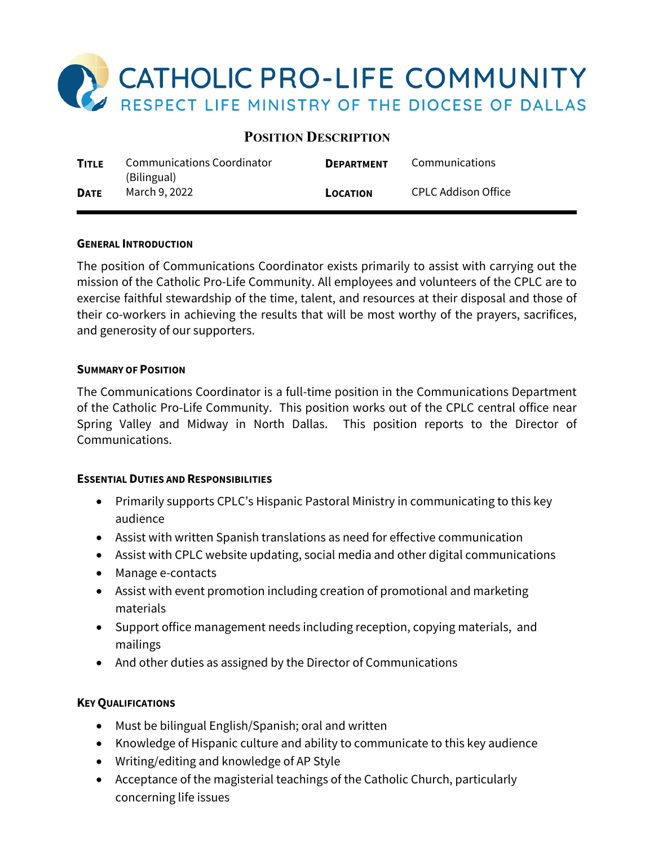

# **POSITION DESCRIPTION**

| <b>TITLE</b> | Communications Coordinator<br>(Bilingual) | <b>DEPARTMENT</b> | Communications      |
|--------------|-------------------------------------------|-------------------|---------------------|
| <b>DATE</b>  | March 9, 2022                             | <b>LOCATION</b>   | CPLC Addison Office |

#### **GENERAL INTRODUCTION**

The position of Communications Coordinator exists primarily to assist with carrying out the mission of the Catholic Pro-Life Community. All employees and volunteers of the CPLC are to exercise faithful stewardship of the time, talent, and resources at their disposal and those of their co-workers in achieving the results that will be most worthy of the prayers, sacrifices, and generosity of our supporters.

#### **SUMMARY OF POSITION**

The Communications Coordinator is a full-time position in the Communications Department of the Catholic Pro-Life Community. This position works out of the CPLC central office near Spring Valley and Midway in North Dallas. This position reports to the Director of Communications.

# **ESSENTIAL DUTIES AND RESPONSIBILITIES**

- Primarily supports CPLC's Hispanic Pastoral Ministry in communicating to this key audience
- Assist with written Spanish translations as need for effective communication
- Assist with CPLC website updating, social media and other digital communications
- Manage e-contacts
- Assist with event promotion including creation of promotional and marketing materials
- Support office management needs including reception, copying materials, and mailings
- And other duties as assigned by the Director of Communications

# **KEY QUALIFICATIONS**

- Must be bilingual English/Spanish; oral and written
- Knowledge of Hispanic culture and ability to communicate to this key audience
- Writing/editing and knowledge of AP Style
- Acceptance of the magisterial teachings of the Catholic Church, particularly concerning life issues